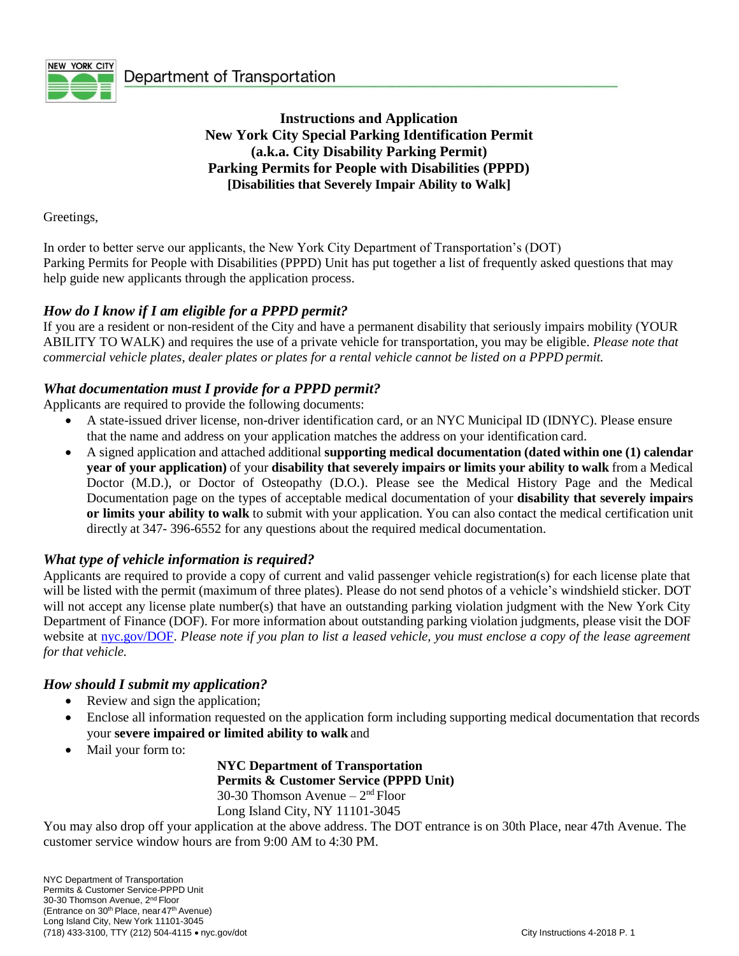

**Instructions and Application New York City Special Parking Identification Permit (a.k.a. City Disability Parking Permit) Parking Permits for People with Disabilities (PPPD) [Disabilities that Severely Impair Ability to Walk]**

Greetings,

In order to better serve our applicants, the New York City Department of Transportation's (DOT) Parking Permits for People with Disabilities (PPPD) Unit has put together a list of frequently asked questions that may help guide new applicants through the application process.

#### *How do I know if I am eligible for a PPPD permit?*

If you are a resident or non-resident of the City and have a permanent disability that seriously impairs mobility (YOUR ABILITY TO WALK) and requires the use of a private vehicle for transportation, you may be eligible. *Please note that commercial vehicle plates, dealer plates or plates for a rental vehicle cannot be listed on a PPPD permit.*

#### *What documentation must I provide for a PPPD permit?*

Applicants are required to provide the following documents:

- A state-issued driver license, non-driver identification card, or an NYC Municipal ID (IDNYC). Please ensure that the name and address on your application matches the address on your identification card.
- A signed application and attached additional **supporting medical documentation (dated within one (1) calendar year of your application)** of your **disability that severely impairs or limits your ability to walk** from a Medical Doctor (M.D.), or Doctor of Osteopathy (D.O.). Please see the Medical History Page and the Medical Documentation page on the types of acceptable medical documentation of your **disability that severely impairs or limits your ability to walk** to submit with your application. You can also contact the medical certification unit directly at 347- 396-6552 for any questions about the required medical documentation.

#### *What type of vehicle information is required?*

Applicants are required to provide a copy of current and valid passenger vehicle registration(s) for each license plate that will be listed with the permit (maximum of three plates). Please do not send photos of a vehicle's windshield sticker. DOT will not accept any license plate number(s) that have an outstanding parking violation judgment with the New York City Department of Finance (DOF). For more information about outstanding parking violation judgments, please visit the DOF website at [nyc.gov/DOF.](http://www.nyc.gov/DOF) *Please note if you plan to list a leased vehicle, you must enclose a copy of the lease agreement for that vehicle.*

#### *How should I submit my application?*

- Review and sign the application;
- Enclose all information requested on the application form including supporting medical documentation that records your **severe impaired or limited ability to walk** and
- Mail your form to:

**NYC Department of Transportation Permits & Customer Service (PPPD Unit)**  30-30 Thomson Avenue  $-2<sup>nd</sup>$  Floor Long Island City, NY 11101-3045

You may also drop off your application at the above address. The DOT entrance is on 30th Place, near 47th Avenue. The customer service window hours are from 9:00 AM to 4:30 PM.

NYC Department of Transportation Permits & Customer Service-PPPD Unit 30-30 Thomson Avenue, 2nd Floor (Entrance on 30<sup>th</sup> Place, near 47<sup>th</sup> Avenue) Long Island City, New York 11101-3045 (718) 433-3100, TTY (212) 504-4115 nyc.gov/dot City Instructions 4-2018 P. 1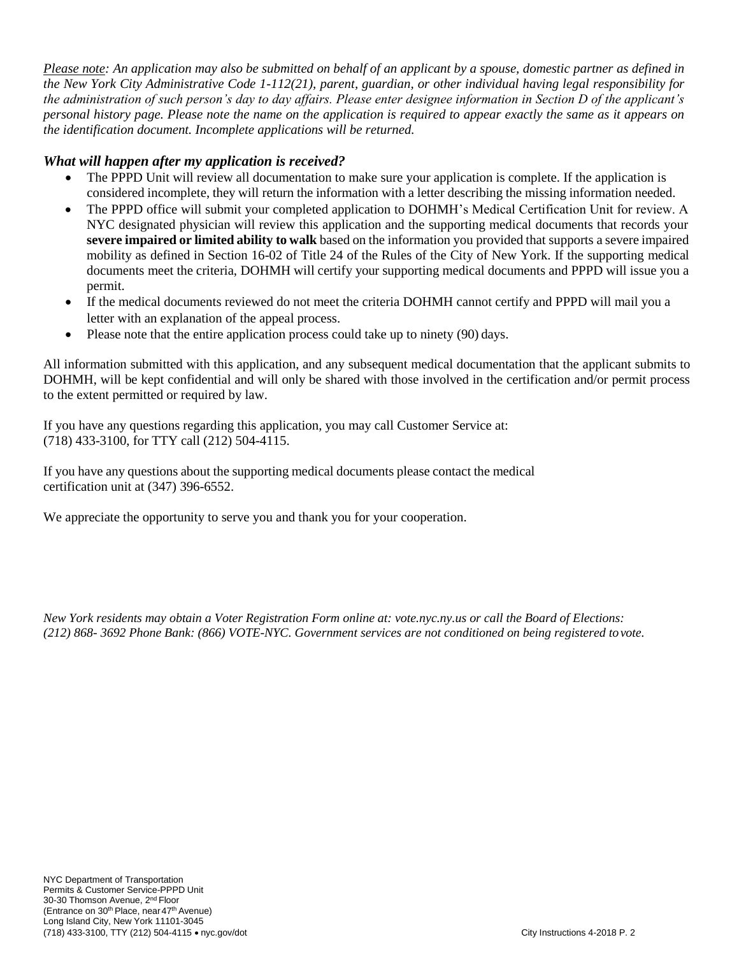*Please note: An application may also be submitted on behalf of an applicant by a spouse, domestic partner as defined in the New York City Administrative Code 1-112(21), parent, guardian, or other individual having legal responsibility for the administration of such person's day to day affairs. Please enter designee information in Section D of the applicant's personal history page. Please note the name on the application is required to appear exactly the same as it appears on the identification document. Incomplete applications will be returned.*

### *What will happen after my application is received?*

- The PPPD Unit will review all documentation to make sure your application is complete. If the application is considered incomplete, they will return the information with a letter describing the missing information needed.
- The PPPD office will submit your completed application to DOHMH's Medical Certification Unit for review. A NYC designated physician will review this application and the supporting medical documents that records your **severe impaired or limited ability to walk** based on the information you provided that supports a severe impaired mobility as defined in Section 16-02 of Title 24 of the Rules of the City of New York. If the supporting medical documents meet the criteria, DOHMH will certify your supporting medical documents and PPPD will issue you a permit.
- If the medical documents reviewed do not meet the criteria DOHMH cannot certify and PPPD will mail you a letter with an explanation of the appeal process.
- Please note that the entire application process could take up to ninety (90) days.

All information submitted with this application, and any subsequent medical documentation that the applicant submits to DOHMH, will be kept confidential and will only be shared with those involved in the certification and/or permit process to the extent permitted or required by law.

If you have any questions regarding this application, you may call Customer Service at: (718) 433-3100, for TTY call (212) 504-4115.

If you have any questions about the supporting medical documents please contact the medical certification unit at (347) 396-6552.

We appreciate the opportunity to serve you and thank you for your cooperation.

*New York residents may obtain a Voter Registration Form online at: vote.nyc.ny.us or call the Board of Elections: (212) 868- 3692 Phone Bank: (866) VOTE-NYC. Government services are not conditioned on being registered tovote.*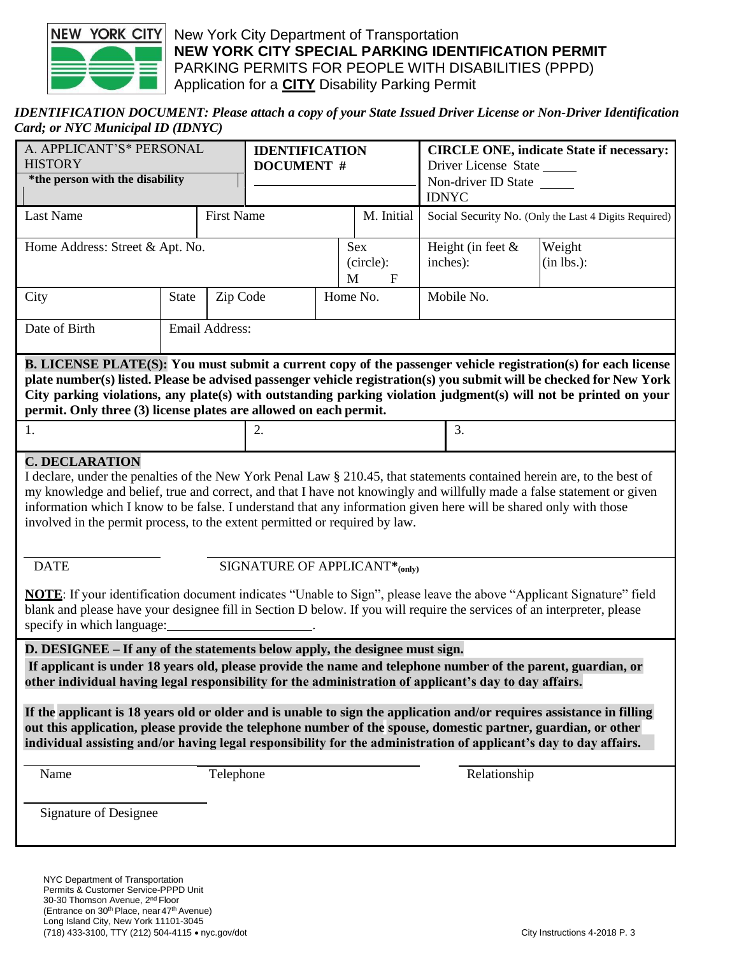

#### *IDENTIFICATION DOCUMENT: Please attach a copy of your State Issued Driver License or Non-Driver Identification Card; or NYC Municipal ID (IDNYC)*

| A. APPLICANT'S* PERSONAL<br><b>HISTORY</b><br>*the person with the disability                                                                                                                                                                                                                                                                                                                                                                                                                                                  |                          |                   | <b>IDENTIFICATION</b><br><b>DOCUMENT</b> # |            |                                      | <b>CIRCLE ONE, indicate State if necessary:</b><br>Driver License State<br>Non-driver ID State<br><b>IDNYC</b> |                                  |                         |
|--------------------------------------------------------------------------------------------------------------------------------------------------------------------------------------------------------------------------------------------------------------------------------------------------------------------------------------------------------------------------------------------------------------------------------------------------------------------------------------------------------------------------------|--------------------------|-------------------|--------------------------------------------|------------|--------------------------------------|----------------------------------------------------------------------------------------------------------------|----------------------------------|-------------------------|
| Last Name                                                                                                                                                                                                                                                                                                                                                                                                                                                                                                                      |                          | <b>First Name</b> |                                            | M. Initial |                                      | Social Security No. (Only the Last 4 Digits Required)                                                          |                                  |                         |
| Home Address: Street & Apt. No.                                                                                                                                                                                                                                                                                                                                                                                                                                                                                                |                          |                   |                                            |            | Sex<br>(circle):<br>M<br>$\mathbf F$ |                                                                                                                | Height (in feet $\&$<br>inches): | Weight<br>$(in lbs.)$ : |
| City                                                                                                                                                                                                                                                                                                                                                                                                                                                                                                                           | Zip Code<br><b>State</b> |                   |                                            |            | Home No.                             |                                                                                                                | Mobile No.                       |                         |
| Date of Birth                                                                                                                                                                                                                                                                                                                                                                                                                                                                                                                  |                          | Email Address:    |                                            |            |                                      |                                                                                                                |                                  |                         |
| B. LICENSE PLATE(S): You must submit a current copy of the passenger vehicle registration(s) for each license<br>plate number(s) listed. Please be advised passenger vehicle registration(s) you submit will be checked for New York<br>City parking violations, any plate(s) with outstanding parking violation judgment(s) will not be printed on your<br>permit. Only three (3) license plates are allowed on each permit.                                                                                                  |                          |                   |                                            |            |                                      |                                                                                                                |                                  |                         |
|                                                                                                                                                                                                                                                                                                                                                                                                                                                                                                                                | 1.                       |                   |                                            | 2.         |                                      |                                                                                                                | 3.                               |                         |
| <b>C. DECLARATION</b><br>I declare, under the penalties of the New York Penal Law § 210.45, that statements contained herein are, to the best of<br>my knowledge and belief, true and correct, and that I have not knowingly and willfully made a false statement or given<br>information which I know to be false. I understand that any information given here will be shared only with those<br>involved in the permit process, to the extent permitted or required by law.<br><b>DATE</b><br>SIGNATURE OF APPLICANT*(only) |                          |                   |                                            |            |                                      |                                                                                                                |                                  |                         |
| <b>NOTE:</b> If your identification document indicates "Unable to Sign", please leave the above "Applicant Signature" field<br>blank and please have your designee fill in Section D below. If you will require the services of an interpreter, please<br>specify in which language:                                                                                                                                                                                                                                           |                          |                   |                                            |            |                                      |                                                                                                                |                                  |                         |
| D. DESIGNEE – If any of the statements below apply, the designee must sign.<br>If applicant is under 18 years old, please provide the name and telephone number of the parent, guardian, or<br>other individual having legal responsibility for the administration of applicant's day to day affairs.                                                                                                                                                                                                                          |                          |                   |                                            |            |                                      |                                                                                                                |                                  |                         |
| If the applicant is 18 years old or older and is unable to sign the application and/or requires assistance in filling<br>out this application, please provide the telephone number of the spouse, domestic partner, guardian, or other<br>individual assisting and/or having legal responsibility for the administration of applicant's day to day affairs.                                                                                                                                                                    |                          |                   |                                            |            |                                      |                                                                                                                |                                  |                         |
| Name                                                                                                                                                                                                                                                                                                                                                                                                                                                                                                                           |                          | Telephone         |                                            |            |                                      |                                                                                                                | Relationship                     |                         |
| <b>Signature of Designee</b>                                                                                                                                                                                                                                                                                                                                                                                                                                                                                                   |                          |                   |                                            |            |                                      |                                                                                                                |                                  |                         |
| NYC Department of Transportation                                                                                                                                                                                                                                                                                                                                                                                                                                                                                               |                          |                   |                                            |            |                                      |                                                                                                                |                                  |                         |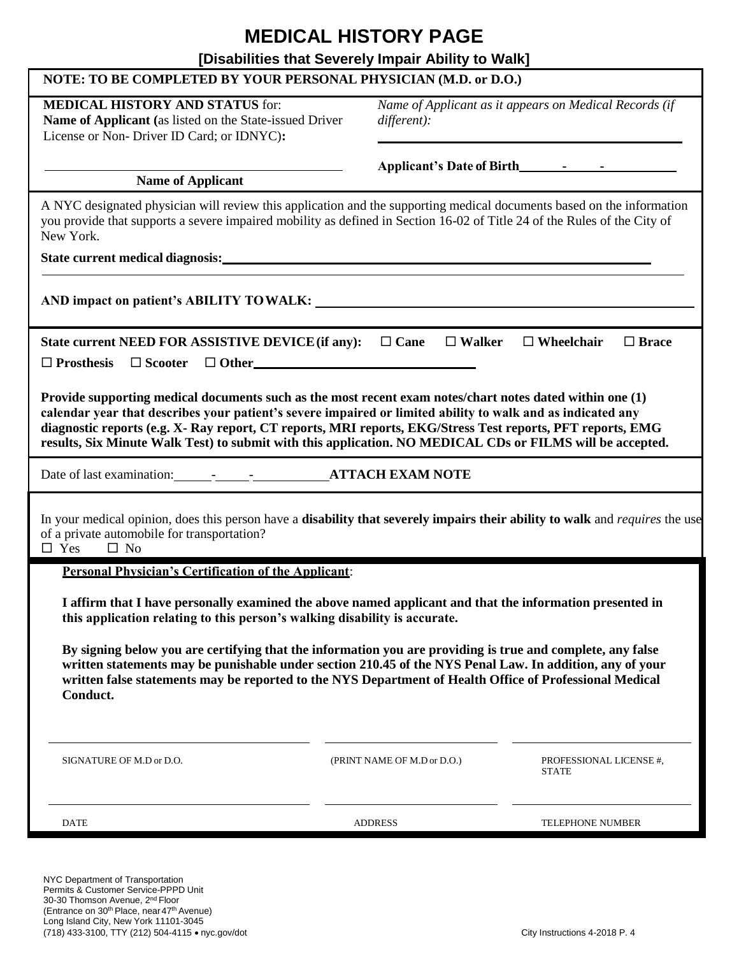## **MEDICAL HISTORY PAGE**

### **[Disabilities that Severely Impair Ability to Walk]**

| [DISADILITIES that Severely Impair Ability to Walk]                                                                                                                                                                                                                                                                                                                                                                                                |                                                                            |                                         |  |  |  |  |
|----------------------------------------------------------------------------------------------------------------------------------------------------------------------------------------------------------------------------------------------------------------------------------------------------------------------------------------------------------------------------------------------------------------------------------------------------|----------------------------------------------------------------------------|-----------------------------------------|--|--|--|--|
| NOTE: TO BE COMPLETED BY YOUR PERSONAL PHYSICIAN (M.D. or D.O.)                                                                                                                                                                                                                                                                                                                                                                                    |                                                                            |                                         |  |  |  |  |
| <b>MEDICAL HISTORY AND STATUS for:</b><br>Name of Applicant (as listed on the State-issued Driver<br>License or Non- Driver ID Card; or IDNYC):                                                                                                                                                                                                                                                                                                    | Name of Applicant as it appears on Medical Records (if<br>$differential$ : |                                         |  |  |  |  |
|                                                                                                                                                                                                                                                                                                                                                                                                                                                    |                                                                            |                                         |  |  |  |  |
| <b>Name of Applicant</b>                                                                                                                                                                                                                                                                                                                                                                                                                           |                                                                            |                                         |  |  |  |  |
| A NYC designated physician will review this application and the supporting medical documents based on the information<br>you provide that supports a severe impaired mobility as defined in Section 16-02 of Title 24 of the Rules of the City of<br>New York.                                                                                                                                                                                     |                                                                            |                                         |  |  |  |  |
|                                                                                                                                                                                                                                                                                                                                                                                                                                                    |                                                                            |                                         |  |  |  |  |
|                                                                                                                                                                                                                                                                                                                                                                                                                                                    |                                                                            |                                         |  |  |  |  |
| $\Box$ Brace<br>State current NEED FOR ASSISTIVE DEVICE (if any): $\square$ Cane $\square$ Walker<br>$\Box$ Wheelchair                                                                                                                                                                                                                                                                                                                             |                                                                            |                                         |  |  |  |  |
| Provide supporting medical documents such as the most recent exam notes/chart notes dated within one (1)<br>calendar year that describes your patient's severe impaired or limited ability to walk and as indicated any<br>diagnostic reports (e.g. X- Ray report, CT reports, MRI reports, EKG/Stress Test reports, PFT reports, EMG<br>results, Six Minute Walk Test) to submit with this application. NO MEDICAL CDs or FILMS will be accepted. |                                                                            |                                         |  |  |  |  |
|                                                                                                                                                                                                                                                                                                                                                                                                                                                    |                                                                            |                                         |  |  |  |  |
| In your medical opinion, does this person have a <b>disability that severely impairs their ability to walk</b> and <i>requires</i> the use<br>of a private automobile for transportation?<br>$\Box$ Yes<br>$\Box$ No                                                                                                                                                                                                                               |                                                                            |                                         |  |  |  |  |
| <b>Personal Physician's Certification of the Applicant:</b>                                                                                                                                                                                                                                                                                                                                                                                        |                                                                            |                                         |  |  |  |  |
| I affirm that I have personally examined the above named applicant and that the information presented in<br>this application relating to this person's walking disability is accurate.                                                                                                                                                                                                                                                             |                                                                            |                                         |  |  |  |  |
| By signing below you are certifying that the information you are providing is true and complete, any false<br>written statements may be punishable under section 210.45 of the NYS Penal Law. In addition, any of your<br>written false statements may be reported to the NYS Department of Health Office of Professional Medical<br>Conduct.                                                                                                      |                                                                            |                                         |  |  |  |  |
| SIGNATURE OF M.D or D.O.                                                                                                                                                                                                                                                                                                                                                                                                                           | (PRINT NAME OF M.D or D.O.)                                                | PROFESSIONAL LICENSE #,<br><b>STATE</b> |  |  |  |  |
| <b>DATE</b>                                                                                                                                                                                                                                                                                                                                                                                                                                        | <b>ADDRESS</b>                                                             | TELEPHONE NUMBER                        |  |  |  |  |

NYC Department of Transportation Permits & Customer Service-PPPD Unit 30-30 Thomson Avenue, 2nd Floor (Entrance on 30<sup>th</sup> Place, near 47<sup>th</sup> Avenue) Long Island City, New York 11101-3045 (718) 433-3100, TTY (212) 504-4115 nyc.gov/dot City Instructions 4-2018 P. 4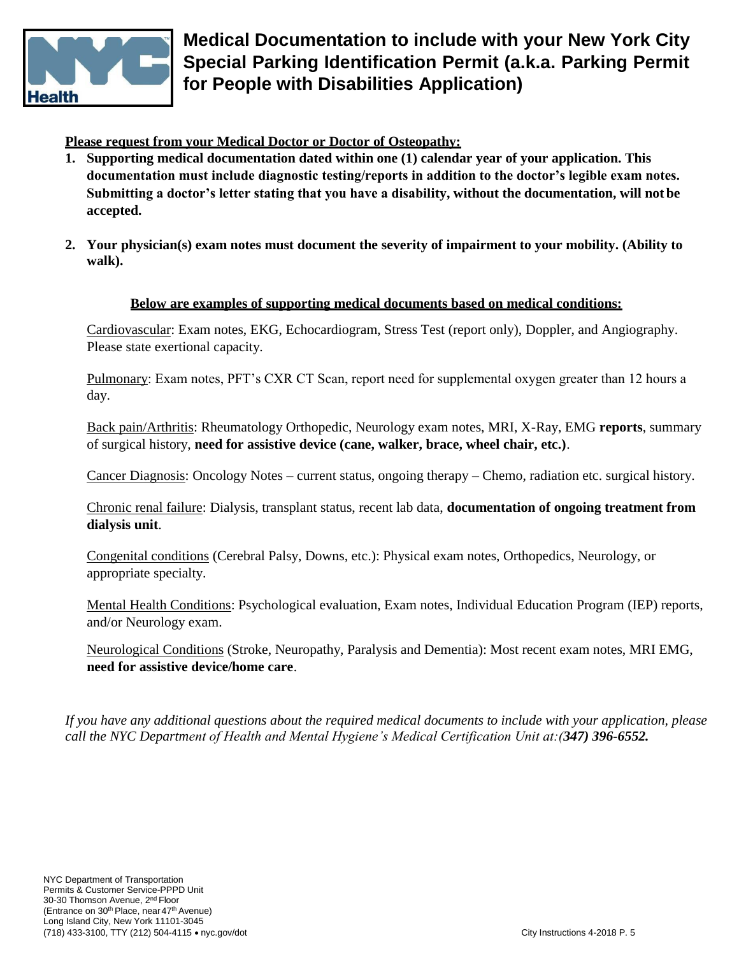

**Medical Documentation to include with your New York City Special Parking Identification Permit (a.k.a. Parking Permit for People with Disabilities Application)**

**Please request from your Medical Doctor or Doctor of Osteopathy:**

- **1. Supporting medical documentation dated within one (1) calendar year of your application. This documentation must include diagnostic testing/reports in addition to the doctor's legible exam notes. Submitting a doctor's letter stating that you have a disability, without the documentation, will not be accepted.**
- **2. Your physician(s) exam notes must document the severity of impairment to your mobility. (Ability to walk).**

#### **Below are examples of supporting medical documents based on medical conditions:**

Cardiovascular: Exam notes, EKG, Echocardiogram, Stress Test (report only), Doppler, and Angiography. Please state exertional capacity.

Pulmonary: Exam notes, PFT's CXR CT Scan, report need for supplemental oxygen greater than 12 hours a day.

Back pain/Arthritis: Rheumatology Orthopedic, Neurology exam notes, MRI, X-Ray, EMG **reports**, summary of surgical history, **need for assistive device (cane, walker, brace, wheel chair, etc.)**.

Cancer Diagnosis: Oncology Notes – current status, ongoing therapy – Chemo, radiation etc. surgical history.

Chronic renal failure: Dialysis, transplant status, recent lab data, **documentation of ongoing treatment from dialysis unit**.

Congenital conditions (Cerebral Palsy, Downs, etc.): Physical exam notes, Orthopedics, Neurology, or appropriate specialty.

Mental Health Conditions: Psychological evaluation, Exam notes, Individual Education Program (IEP) reports, and/or Neurology exam.

Neurological Conditions (Stroke, Neuropathy, Paralysis and Dementia): Most recent exam notes, MRI EMG, **need for assistive device/home care**.

*If you have any additional questions about the required medical documents to include with your application, please call the NYC Department of Health and Mental Hygiene's Medical Certification Unit at:(347) 396-6552.*